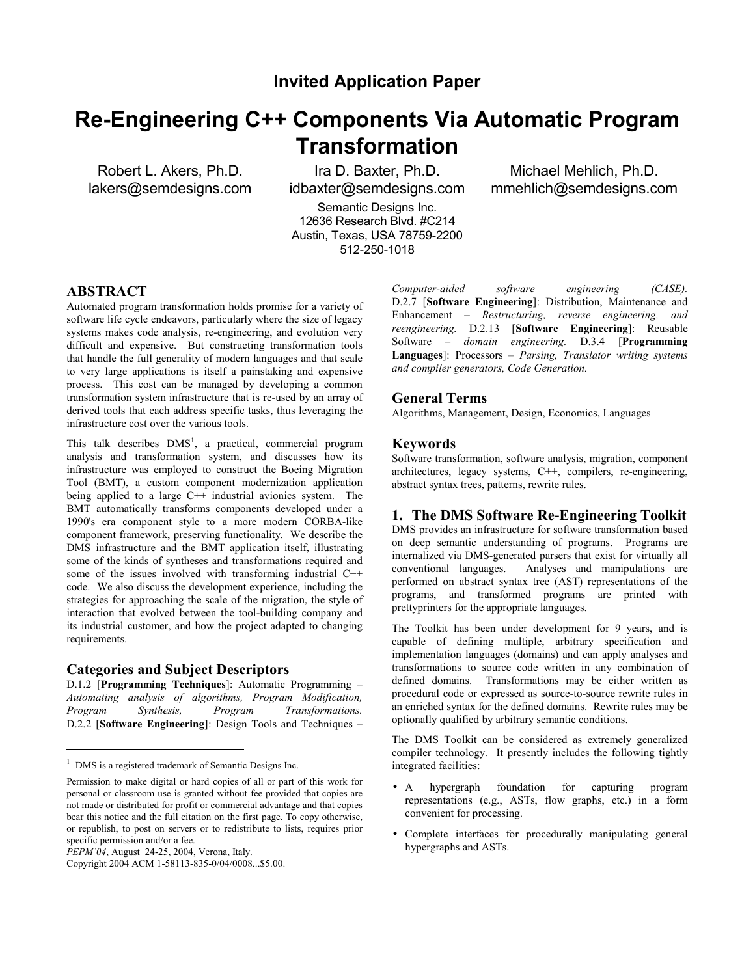## **Invited Application Paper**

# **Re-Engineering C++ Components Via Automatic Program Transformation**

Robert L. Akers, Ph.D. lakers@semdesigns.com

Ira D. Baxter, Ph.D. idbaxter@semdesigns.com

Semantic Designs Inc. 12636 Research Blvd. #C214 Austin, Texas, USA 78759-2200 512-250-1018

Michael Mehlich, Ph.D. mmehlich@semdesigns.com

## **ABSTRACT**

Automated program transformation holds promise for a variety of software life cycle endeavors, particularly where the size of legacy systems makes code analysis, re-engineering, and evolution very difficult and expensive. But constructing transformation tools that handle the full generality of modern languages and that scale to very large applications is itself a painstaking and expensive process. This cost can be managed by developing a common transformation system infrastructure that is re-used by an array of derived tools that each address specific tasks, thus leveraging the infrastructure cost over the various tools.

This talk describes  $DMS<sup>1</sup>$ , a practical, commercial program analysis and transformation system, and discusses how its infrastructure was employed to construct the Boeing Migration Tool (BMT), a custom component modernization application being applied to a large  $C++$  industrial avionics system. The BMT automatically transforms components developed under a 1990's era component style to a more modern CORBA-like component framework, preserving functionality. We describe the DMS infrastructure and the BMT application itself, illustrating some of the kinds of syntheses and transformations required and some of the issues involved with transforming industrial C++ code. We also discuss the development experience, including the strategies for approaching the scale of the migration, the style of interaction that evolved between the tool-building company and its industrial customer, and how the project adapted to changing requirements.

## **Categories and Subject Descriptors**

D.1.2 [**Programming Techniques**]: Automatic Programming – *Automating analysis of algorithms, Program Modification, Program Synthesis, Program Transformations.*  D.2.2 [**Software Engineering**]: Design Tools and Techniques –

*PEPM'04*, August 24-25, 2004, Verona, Italy.

j

*Computer-aided software engineering (CASE).*  D.2.7 [**Software Engineering**]: Distribution, Maintenance and Enhancement – *Restructuring, reverse engineering, and reengineering.* D.2.13 [**Software Engineering**]: Reusable Software – *domain engineering.* D.3.4 [**Programming Languages**]: Processors – *Parsing, Translator writing systems and compiler generators, Code Generation.* 

#### **General Terms**

Algorithms, Management, Design, Economics, Languages

#### **Keywords**

Software transformation, software analysis, migration, component architectures, legacy systems, C++, compilers, re-engineering, abstract syntax trees, patterns, rewrite rules.

## **1. The DMS Software Re-Engineering Toolkit**

DMS provides an infrastructure for software transformation based on deep semantic understanding of programs. Programs are internalized via DMS-generated parsers that exist for virtually all conventional languages. Analyses and manipulations are performed on abstract syntax tree (AST) representations of the programs, and transformed programs are printed with prettyprinters for the appropriate languages.

The Toolkit has been under development for 9 years, and is capable of defining multiple, arbitrary specification and implementation languages (domains) and can apply analyses and transformations to source code written in any combination of defined domains. Transformations may be either written as procedural code or expressed as source-to-source rewrite rules in an enriched syntax for the defined domains. Rewrite rules may be optionally qualified by arbitrary semantic conditions.

The DMS Toolkit can be considered as extremely generalized compiler technology. It presently includes the following tightly integrated facilities:

- A hypergraph foundation for capturing program representations (e.g., ASTs, flow graphs, etc.) in a form convenient for processing.
- Complete interfaces for procedurally manipulating general hypergraphs and ASTs.

<sup>&</sup>lt;sup>1</sup> DMS is a registered trademark of Semantic Designs Inc.

Permission to make digital or hard copies of all or part of this work for personal or classroom use is granted without fee provided that copies are not made or distributed for profit or commercial advantage and that copies bear this notice and the full citation on the first page. To copy otherwise, or republish, to post on servers or to redistribute to lists, requires prior specific permission and/or a fee.

Copyright 2004 ACM 1-58113-835-0/04/0008...\$5.00.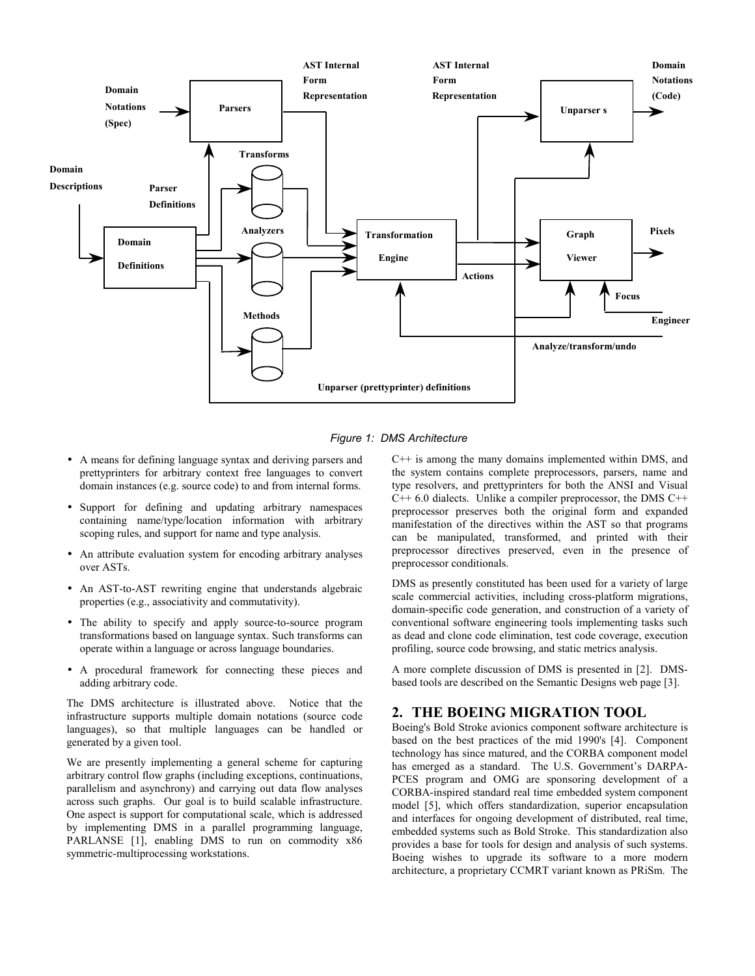

#### *Figure 1: DMS Architecture*

- A means for defining language syntax and deriving parsers and prettyprinters for arbitrary context free languages to convert domain instances (e.g. source code) to and from internal forms.
- Support for defining and updating arbitrary namespaces containing name/type/location information with arbitrary scoping rules, and support for name and type analysis.
- An attribute evaluation system for encoding arbitrary analyses over ASTs.
- An AST-to-AST rewriting engine that understands algebraic properties (e.g., associativity and commutativity).
- The ability to specify and apply source-to-source program transformations based on language syntax. Such transforms can operate within a language or across language boundaries.
- A procedural framework for connecting these pieces and adding arbitrary code.

The DMS architecture is illustrated above. Notice that the infrastructure supports multiple domain notations (source code languages), so that multiple languages can be handled or generated by a given tool.

We are presently implementing a general scheme for capturing arbitrary control flow graphs (including exceptions, continuations, parallelism and asynchrony) and carrying out data flow analyses across such graphs. Our goal is to build scalable infrastructure. One aspect is support for computational scale, which is addressed by implementing DMS in a parallel programming language, PARLANSE [1], enabling DMS to run on commodity x86 symmetric-multiprocessing workstations.

C++ is among the many domains implemented within DMS, and the system contains complete preprocessors, parsers, name and type resolvers, and prettyprinters for both the ANSI and Visual  $C++ 6.0$  dialects. Unlike a compiler preprocessor, the DMS  $C++$ preprocessor preserves both the original form and expanded manifestation of the directives within the AST so that programs can be manipulated, transformed, and printed with their preprocessor directives preserved, even in the presence of preprocessor conditionals.

DMS as presently constituted has been used for a variety of large scale commercial activities, including cross-platform migrations, domain-specific code generation, and construction of a variety of conventional software engineering tools implementing tasks such as dead and clone code elimination, test code coverage, execution profiling, source code browsing, and static metrics analysis.

A more complete discussion of DMS is presented in [2]. DMSbased tools are described on the Semantic Designs web page [3].

## **2. THE BOEING MIGRATION TOOL**

Boeing's Bold Stroke avionics component software architecture is based on the best practices of the mid 1990's [4]. Component technology has since matured, and the CORBA component model has emerged as a standard. The U.S. Government's DARPA-PCES program and OMG are sponsoring development of a CORBA-inspired standard real time embedded system component model [5], which offers standardization, superior encapsulation and interfaces for ongoing development of distributed, real time, embedded systems such as Bold Stroke. This standardization also provides a base for tools for design and analysis of such systems. Boeing wishes to upgrade its software to a more modern architecture, a proprietary CCMRT variant known as PRiSm. The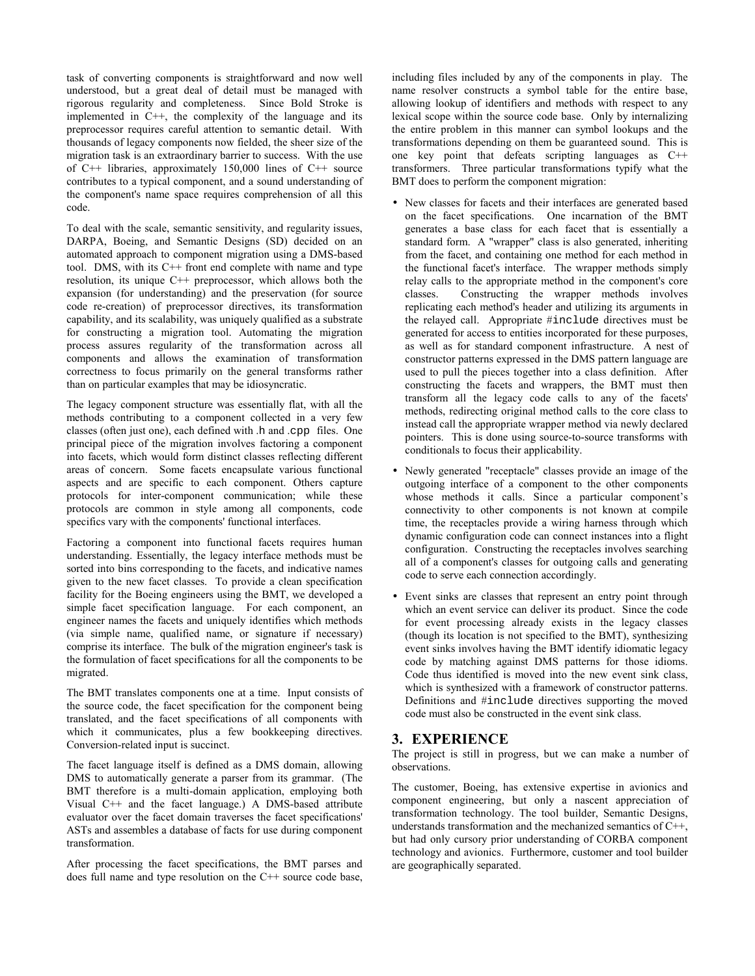task of converting components is straightforward and now well understood, but a great deal of detail must be managed with rigorous regularity and completeness. Since Bold Stroke is implemented in C++, the complexity of the language and its preprocessor requires careful attention to semantic detail. With thousands of legacy components now fielded, the sheer size of the migration task is an extraordinary barrier to success. With the use of C++ libraries, approximately 150,000 lines of C++ source contributes to a typical component, and a sound understanding of the component's name space requires comprehension of all this code.

To deal with the scale, semantic sensitivity, and regularity issues, DARPA, Boeing, and Semantic Designs (SD) decided on an automated approach to component migration using a DMS-based tool. DMS, with its C++ front end complete with name and type resolution, its unique  $C^{++}$  preprocessor, which allows both the expansion (for understanding) and the preservation (for source code re-creation) of preprocessor directives, its transformation capability, and its scalability, was uniquely qualified as a substrate for constructing a migration tool. Automating the migration process assures regularity of the transformation across all components and allows the examination of transformation correctness to focus primarily on the general transforms rather than on particular examples that may be idiosyncratic.

The legacy component structure was essentially flat, with all the methods contributing to a component collected in a very few classes (often just one), each defined with .h and .cpp files. One principal piece of the migration involves factoring a component into facets, which would form distinct classes reflecting different areas of concern. Some facets encapsulate various functional aspects and are specific to each component. Others capture protocols for inter-component communication; while these protocols are common in style among all components, code specifics vary with the components' functional interfaces.

Factoring a component into functional facets requires human understanding. Essentially, the legacy interface methods must be sorted into bins corresponding to the facets, and indicative names given to the new facet classes. To provide a clean specification facility for the Boeing engineers using the BMT, we developed a simple facet specification language. For each component, an engineer names the facets and uniquely identifies which methods (via simple name, qualified name, or signature if necessary) comprise its interface. The bulk of the migration engineer's task is the formulation of facet specifications for all the components to be migrated.

The BMT translates components one at a time. Input consists of the source code, the facet specification for the component being translated, and the facet specifications of all components with which it communicates, plus a few bookkeeping directives. Conversion-related input is succinct.

The facet language itself is defined as a DMS domain, allowing DMS to automatically generate a parser from its grammar. (The BMT therefore is a multi-domain application, employing both Visual C++ and the facet language.) A DMS-based attribute evaluator over the facet domain traverses the facet specifications' ASTs and assembles a database of facts for use during component transformation.

After processing the facet specifications, the BMT parses and does full name and type resolution on the C++ source code base,

including files included by any of the components in play. The name resolver constructs a symbol table for the entire base, allowing lookup of identifiers and methods with respect to any lexical scope within the source code base. Only by internalizing the entire problem in this manner can symbol lookups and the transformations depending on them be guaranteed sound. This is one key point that defeats scripting languages as C++ transformers. Three particular transformations typify what the BMT does to perform the component migration:

- New classes for facets and their interfaces are generated based on the facet specifications. One incarnation of the BMT generates a base class for each facet that is essentially a standard form. A "wrapper" class is also generated, inheriting from the facet, and containing one method for each method in the functional facet's interface. The wrapper methods simply relay calls to the appropriate method in the component's core classes. Constructing the wrapper methods involves replicating each method's header and utilizing its arguments in the relayed call. Appropriate #include directives must be generated for access to entities incorporated for these purposes, as well as for standard component infrastructure. A nest of constructor patterns expressed in the DMS pattern language are used to pull the pieces together into a class definition. After constructing the facets and wrappers, the BMT must then transform all the legacy code calls to any of the facets' methods, redirecting original method calls to the core class to instead call the appropriate wrapper method via newly declared pointers. This is done using source-to-source transforms with conditionals to focus their applicability.
- Newly generated "receptacle" classes provide an image of the outgoing interface of a component to the other components whose methods it calls. Since a particular component's connectivity to other components is not known at compile time, the receptacles provide a wiring harness through which dynamic configuration code can connect instances into a flight configuration. Constructing the receptacles involves searching all of a component's classes for outgoing calls and generating code to serve each connection accordingly.
- Event sinks are classes that represent an entry point through which an event service can deliver its product. Since the code for event processing already exists in the legacy classes (though its location is not specified to the BMT), synthesizing event sinks involves having the BMT identify idiomatic legacy code by matching against DMS patterns for those idioms. Code thus identified is moved into the new event sink class, which is synthesized with a framework of constructor patterns. Definitions and #include directives supporting the moved code must also be constructed in the event sink class.

## **3. EXPERIENCE**

The project is still in progress, but we can make a number of observations.

The customer, Boeing, has extensive expertise in avionics and component engineering, but only a nascent appreciation of transformation technology. The tool builder, Semantic Designs, understands transformation and the mechanized semantics of C++, but had only cursory prior understanding of CORBA component technology and avionics. Furthermore, customer and tool builder are geographically separated.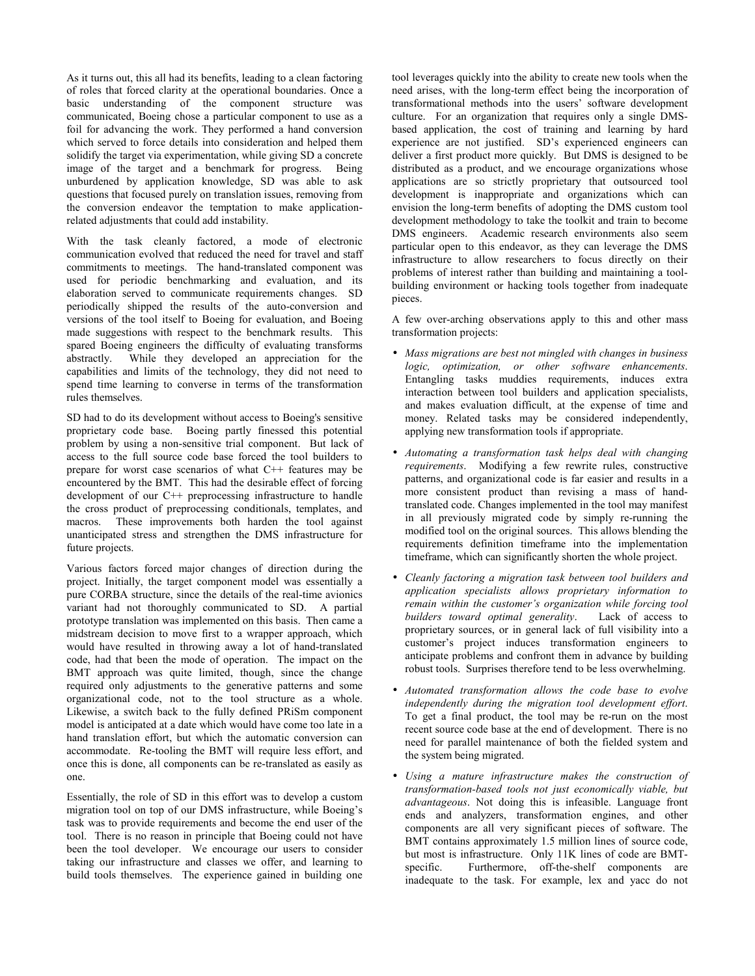As it turns out, this all had its benefits, leading to a clean factoring of roles that forced clarity at the operational boundaries. Once a basic understanding of the component structure was communicated, Boeing chose a particular component to use as a foil for advancing the work. They performed a hand conversion which served to force details into consideration and helped them solidify the target via experimentation, while giving SD a concrete image of the target and a benchmark for progress. Being unburdened by application knowledge, SD was able to ask questions that focused purely on translation issues, removing from the conversion endeavor the temptation to make applicationrelated adjustments that could add instability.

With the task cleanly factored, a mode of electronic communication evolved that reduced the need for travel and staff commitments to meetings. The hand-translated component was used for periodic benchmarking and evaluation, and its elaboration served to communicate requirements changes. SD periodically shipped the results of the auto-conversion and versions of the tool itself to Boeing for evaluation, and Boeing made suggestions with respect to the benchmark results. This spared Boeing engineers the difficulty of evaluating transforms abstractly. While they developed an appreciation for the capabilities and limits of the technology, they did not need to spend time learning to converse in terms of the transformation rules themselves.

SD had to do its development without access to Boeing's sensitive proprietary code base. Boeing partly finessed this potential problem by using a non-sensitive trial component. But lack of access to the full source code base forced the tool builders to prepare for worst case scenarios of what C++ features may be encountered by the BMT. This had the desirable effect of forcing development of our C++ preprocessing infrastructure to handle the cross product of preprocessing conditionals, templates, and macros. These improvements both harden the tool against unanticipated stress and strengthen the DMS infrastructure for future projects.

Various factors forced major changes of direction during the project. Initially, the target component model was essentially a pure CORBA structure, since the details of the real-time avionics variant had not thoroughly communicated to SD. A partial prototype translation was implemented on this basis. Then came a midstream decision to move first to a wrapper approach, which would have resulted in throwing away a lot of hand-translated code, had that been the mode of operation. The impact on the BMT approach was quite limited, though, since the change required only adjustments to the generative patterns and some organizational code, not to the tool structure as a whole. Likewise, a switch back to the fully defined PRiSm component model is anticipated at a date which would have come too late in a hand translation effort, but which the automatic conversion can accommodate. Re-tooling the BMT will require less effort, and once this is done, all components can be re-translated as easily as one.

Essentially, the role of SD in this effort was to develop a custom migration tool on top of our DMS infrastructure, while Boeing's task was to provide requirements and become the end user of the tool. There is no reason in principle that Boeing could not have been the tool developer. We encourage our users to consider taking our infrastructure and classes we offer, and learning to build tools themselves. The experience gained in building one tool leverages quickly into the ability to create new tools when the need arises, with the long-term effect being the incorporation of transformational methods into the users' software development culture. For an organization that requires only a single DMSbased application, the cost of training and learning by hard experience are not justified. SD's experienced engineers can deliver a first product more quickly. But DMS is designed to be distributed as a product, and we encourage organizations whose applications are so strictly proprietary that outsourced tool development is inappropriate and organizations which can envision the long-term benefits of adopting the DMS custom tool development methodology to take the toolkit and train to become DMS engineers. Academic research environments also seem particular open to this endeavor, as they can leverage the DMS infrastructure to allow researchers to focus directly on their problems of interest rather than building and maintaining a toolbuilding environment or hacking tools together from inadequate pieces.

A few over-arching observations apply to this and other mass transformation projects:

- *Mass migrations are best not mingled with changes in business logic, optimization, or other software enhancements*. Entangling tasks muddies requirements, induces extra interaction between tool builders and application specialists, and makes evaluation difficult, at the expense of time and money. Related tasks may be considered independently, applying new transformation tools if appropriate.
- *Automating a transformation task helps deal with changing requirements*. Modifying a few rewrite rules, constructive patterns, and organizational code is far easier and results in a more consistent product than revising a mass of handtranslated code. Changes implemented in the tool may manifest in all previously migrated code by simply re-running the modified tool on the original sources. This allows blending the requirements definition timeframe into the implementation timeframe, which can significantly shorten the whole project.
- *Cleanly factoring a migration task between tool builders and application specialists allows proprietary information to remain within the customer's organization while forcing tool builders toward optimal generality.* Lack of access to *builders toward optimal generality.* proprietary sources, or in general lack of full visibility into a customer's project induces transformation engineers to anticipate problems and confront them in advance by building robust tools. Surprises therefore tend to be less overwhelming.
- *Automated transformation allows the code base to evolve independently during the migration tool development effort*. To get a final product, the tool may be re-run on the most recent source code base at the end of development. There is no need for parallel maintenance of both the fielded system and the system being migrated.
- *Using a mature infrastructure makes the construction of transformation-based tools not just economically viable, but advantageous*. Not doing this is infeasible. Language front ends and analyzers, transformation engines, and other components are all very significant pieces of software. The BMT contains approximately 1.5 million lines of source code, but most is infrastructure. Only 11K lines of code are BMTspecific. Furthermore, off-the-shelf components are inadequate to the task. For example, lex and yacc do not